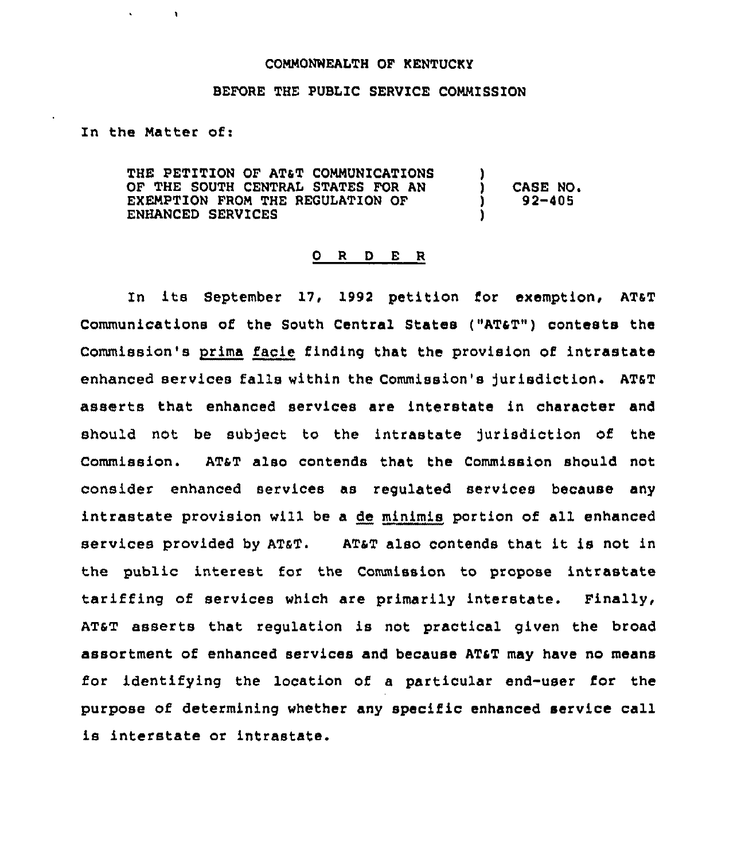#### COMMONWEALTH OF KENTUCKY

## BEFORE THE PUBLIC SERVICE COMMISSION

## In the Natter of:

 $\mathbf{L}$ 

THE PETITION OF AT&T COMMUNICATIONS OF THE SOUTH CENTRAL STATES FOR AN EXEMPTION FROM THE REGULATION OF ENHANCED SERVICES )<br>) ) CASE NO. ) 92-405 )

#### 0 <sup>R</sup> <sup>D</sup> E R

In its September l7, l992 petition for exemption, AT4T Communications of the South Central States ("AT4T") contests the Commission's prima facie finding that the provision of intrastate enhanced services falls within the Commission's Jurisdiction. ATsT asserts that enhanced services are interstate in charaoter and should not be subject to the intrastate jurisdiction of the Commission. AT&T also contends that the Commission should not consider enhanced services as regulated services because any intrastate provision will be a de minimis portion of all enhanced services provided by ATaT. ATaT also contends that it is not in the public interest for the Commission to propose intrastate tariffing of services which are primarily interstate. Finally, ATsT asserts that regulation is not practical given the broad assortment of enhanced services and because ATaT may have no means for identifying the location of a particular end-user for the purpose of determining whether any specific enhanced service call is interstate or intrastate.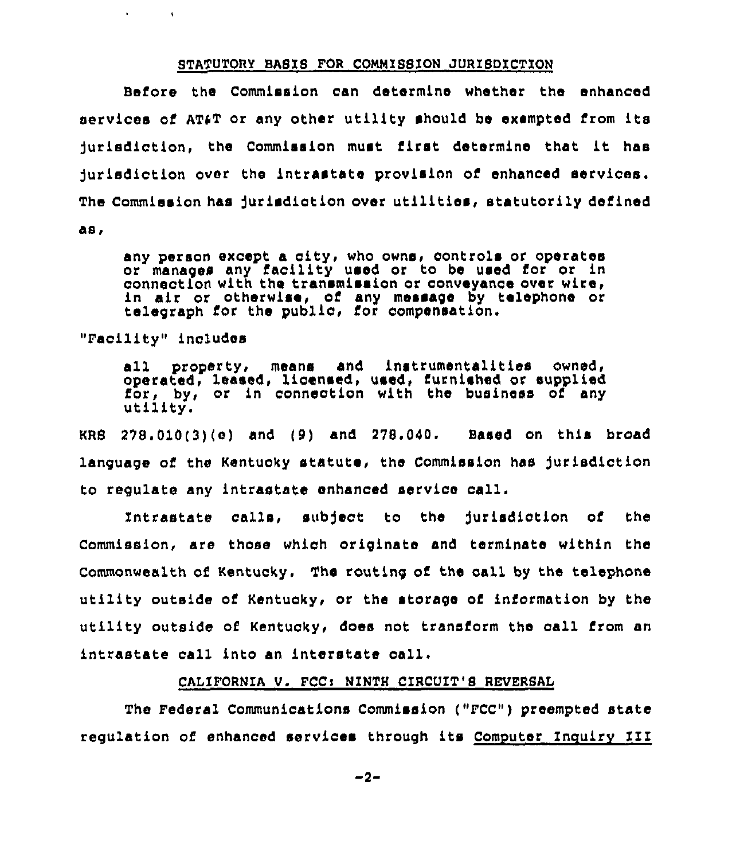#### STATUTORY BASIS FOR COMMISSION JURISDICTION

Before the Commission can determine whether the enhanced services of AT&T or any other utility should be exempted from its )urisdiction, the Commission must first determine that it has jurisdiction over the intrastate provision of enhanced services. The Commission has jurisdiction over utilities, statutorily defined as,

any person except a city, who owns, controls or operates or manages any facility used or to be used for or in connection with the transmission or conveyance over wire, connection with the transmission or conveyance over wire,<br>in air or otherwise, of any message by telephone or telegraph for the public, for compensation.

"Facility" includes

 $\mathbf{A}$  and  $\mathbf{A}$ 

**Contract** 

all property, means and instrumentalities owned,<br>operated, leased, licensed, used, furnished or supplied for, by, or in connection with the business of any utility.

KRS  $278.010(3)(e)$  and  $(9)$  and  $278.040$ . Based on this broad language of the Kentucky statute, the Commission has jurisdiction to regulate any intrastate enhanced service call.

Intrastate calls, subject to the jurisdiction of the Commission, are those which originate and terminate within the Commonwealth of Kentucky. The routing of the call by the telephone utility outside of Kentucky, or the storage of information by the utility outside of Kentucky, does not transform the call from an intrastate call into an interstate call.

# CALIFORNIA V. FCC: NINTH CIRCUIT'S REVERSAL

The Federal Communications Commission ("FCC") preempted state regulation of enhanced services through its Computer Incuirv III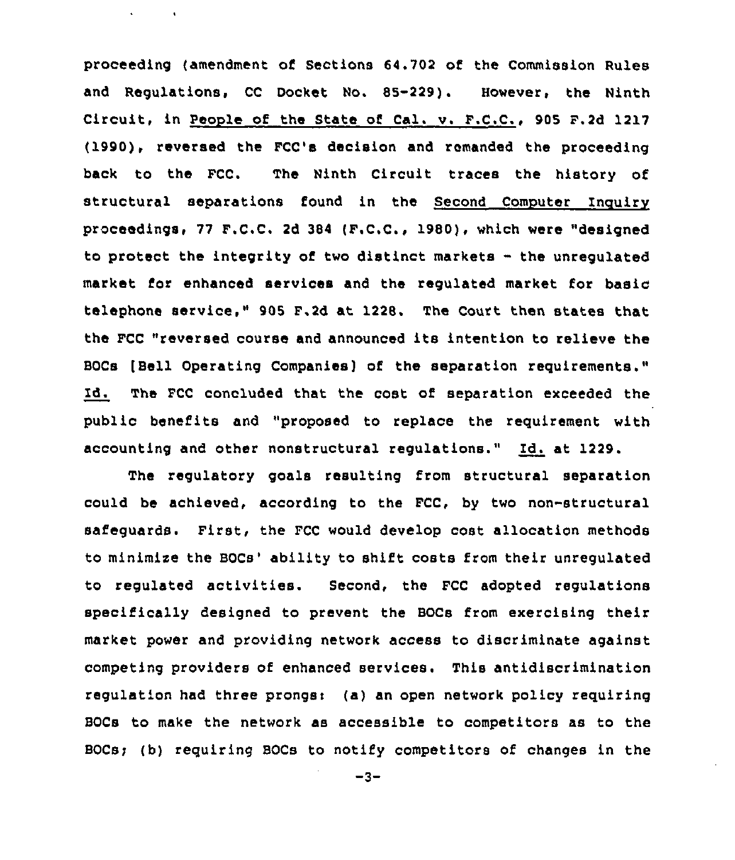proceeding (amendment of Sections 64.702 of the Commission Rules and Regulations, CC Docket No. 85-229). However, the Ninth Circuit, in People of the State of Cal. v. F.C.C., 905 F.2d 1217 (1990). reversed the FCC's decision and remanded the proceeding back to the FCC. The Ninth Circuit traces the history of structural separations found in the Second Computer Inquiry proceedings, 77 F.C.C. 2d 384 (F.C.C., 1980), which were "designed to protect the integrity of two distinct markets - the unrequlated market for enhanced services and the requlated market for basic telephone service," 905 F.2d at 1228. The Court then states that the FCC "reversed course and announced its intention to relieve the BOCs [Beii Operating Companies) of the separation requirements." Id. The FCC concluded that the cost of separation exceeded the public benefits and "proposed to replace the requirement with accounting and other nonstructural regulations." Id. at 1229.

 $\ddot{\phantom{a}}$ 

 $\sim 10$ 

The regulatory goals resulting from structural separation could be achieved, according to the FCC, by two non-structural safeguards. First, the FCC would develop cost allocation methods to minimize the BOCs' ability to shift costs from their unregulated to regulated activities. Second, the FCC adopted regulations specifically designed to prevent the BOCs from exercising their market power and providing network access to discriminate against competing providers of enhanced services. This antidiscrimination regulation had three prongsi (a) an open network policy requiring BOCs to make the network as accessible to competitors as to the BOCs; (b) requiring BOCs to notify competitors of changes in the

 $-3-$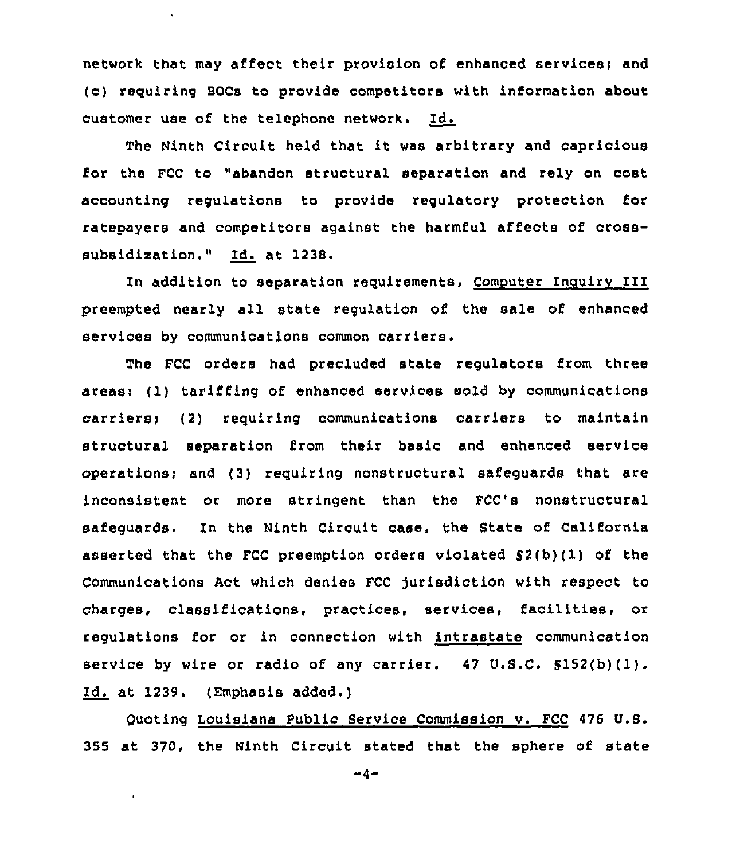network that may affect their provision of enhanced services) and (c) reguiring BOCs to provide competitors with information about customer use of the telephone network. Id.

 $\mathbf{q} = \mathbf{q} \times \mathbf{q}$  ,  $\mathbf{q} = \mathbf{q} \times \mathbf{q}$ 

The Ninth Circuit held that it was arbitrary and capricious for the FCC to "abandon structural separation and rely on cost accounting regulations to provide regulatory protection for ratepayers and competitors against the harmful affects of crosssubsidisation." Id. at 1238.

In addition to separation requirements, Computer Inquiry III preempted nearly all state regulation of the sale of enhanced services by communications common carriers,

The FCC orders had precluded state regulators from three areasi (1) tariffing of enhanced services sold by communications carriers; (2) requiring communications carriers to maintain structural separation from their basic and enhanced service operations; and  $(3)$  requiring nonstructural safeguards that are inconsistent or more stringent than the FCC's nonstructural safeguards. In the Ninth Circuit case, the State of California asserted that the FCC preemption orders violated  $$2(b)(1)$  of the Communications Act which denies FCC jurisdiction with respect to charges, classifications, practices, services, facilities, or regulations for or in connection with intrastate communication service by wire or radio of any carrier. 47 U.S.C. 5152(b)(1). Id. at 1239. (Emphasis added.)

()uoting Louisiana Public Service Commission v. FCC 476 U.S. 355 at 370, the Ninth Circuit stated that the sphere of state

 $-4-$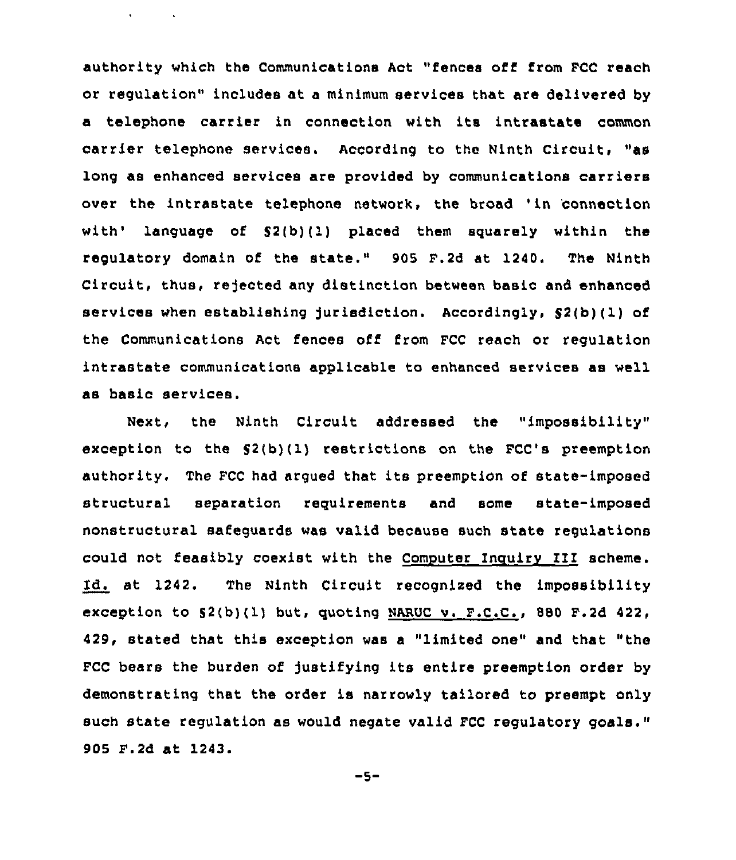authority which the Communications Act "fences off from FCC reach or regulation" includes at a minimum services that are delivered by a telephone carrier in connection with its intrastate common carrier telephone services. According to the Ninth Circuit, "as long as enhanced services are provided by communications carriers over the intrastate telephone network, the broad 'in 'connection with' language of  $S(2(b)(1)$  placed them squarely within the regulatory domain of the state." 905 F.2d at 1240. The Ninth Circuit, thus, rejected any distinction between basic and enhanced services when establishing Jurisdiction. Accordingly, S2{b)(1) of the Communications Act fences off from FCC reach or regulation intrastate communications applicable to enhanced services as well as basic services.

 $\mathbf{v} = \mathbf{v} \times \mathbf{v}$  ,  $\mathbf{v} = \mathbf{v} \times \mathbf{v}$ 

Next, the Ninth Circuit addressed the "impossibility" exception to the S2(b)(1) restrictions on the FCC's preemption authority. The FCC had argued that its preemption of state-imposed structural separation requirements and some state-imposed nonstructural safeguards was valid because such state regulations could not feasibly coexist with the Computer Inquiry III scheme. Id. at 1242. The Ninth Circuit recognised the impossibility exception to S2(b)(1) but, quoting NARUC v. P.C.C., 880 F.2d 422, 429, stated that this exception was a "limited one" and that "the FCC bears the burden of justifying its entire preemption order by demonstrating that the order is narrowly tailored to preempt only such state regulation as would negate valid FCC regulatory goals." 905 F.2d at 1243.

 $-5-$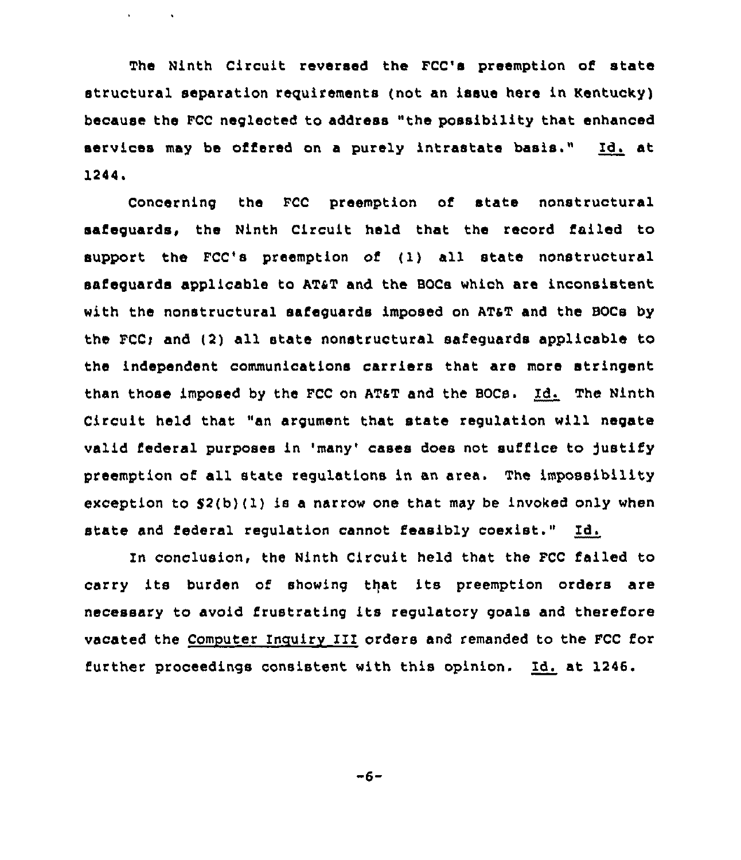The Ninth Circuit reversed the FCC's preemption of state structural separation requirements (not an issue here in Kentucky) because the FCC neglected to address "the possibility that enhanced services may be offered on <sup>a</sup> purely intrastate basis." Id. at 1244.

 $\mathbf{v} = \mathbf{v} \times \mathbf{v}$  .  $\mathbf{v} = \mathbf{v}$ 

Concerning the FCC preemption of state nonstructural safeguards, the Ninth Circuit held that the record failed to support the FCC's preemption of (1) all state nonstructural safeguards applicable to AT&T and the BOCs which are inconsistent with the nonstructural aafeguards imposed on ATaT and the BOCs by the FCC> and (2) all state nonstructural safeguards applicable to the independent communications carriers that are more stringent than those imposed by the FCC on AT&T and the BOCs. Id. The Ninth Circuit held that "an argument that state regulation will negate valid federal purposes in 'many' cases does not suffice to justify preemption of all state regulations in an area. The impossibility exception to  $$2(b)(1)$  is a narrow one that may be invoked only when state and federal regulation cannot feasibly coexist." Id.

In conclusion, the Ninth Circuit held that the FCC failed to carry its burden of showing that its preemption orders are necessary to avoid frustrating its regulatory goals and therefore vacated the Computer Inquiry III orders and remanded to the FCC for further proceedings consistent with this opinion. Id. at 1246.

 $-6-$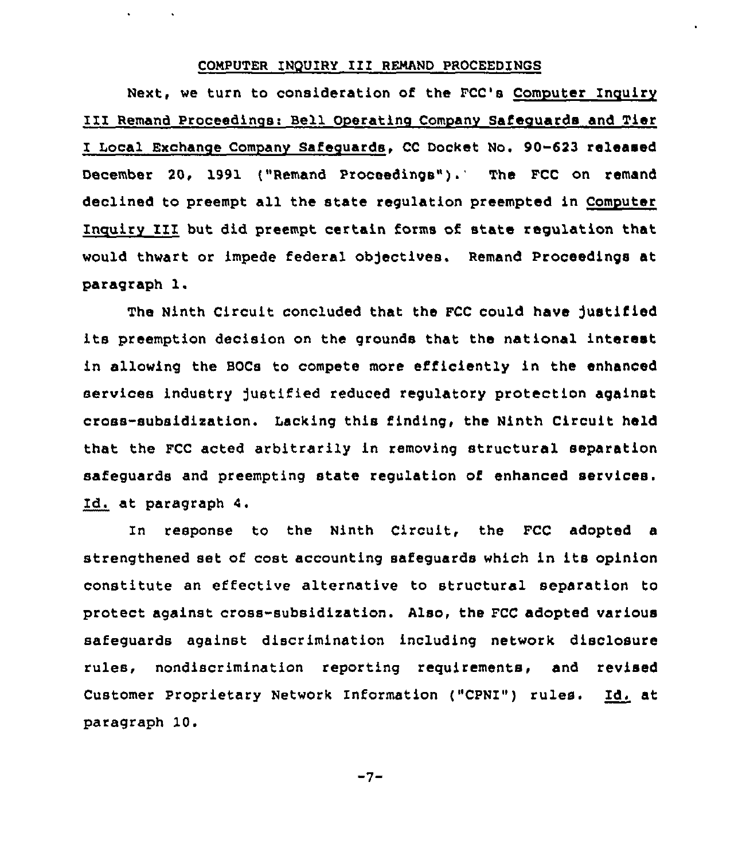# COMPUTER INQUIRY III REMAND PROCEEDINGS

 $\sim 100$  km  $^{-1}$ 

Next, we turn to consideration of the FCC's Computer Inquiry III Remand Proceedings: Bell Operating Company Safeguards and Tier I Local Exchange Company Safeguards, CC Docket No. 90-623 released December 20, 1991 ("Remand Proceedings"). The FCC on remand declined to preempt all the state regulation preempted in Computer Inquiry IZI but did preempt certain forms of state regulation that would thwart or impede federal objectives. Remand Proceedings at paragraph 1.

The Ninth Circuit concluded that the FCC could have Justified its preemption decision on the grounds that the national interest in allowing the BOCs to compete more efficiently in the enhanced services industry )ustified reduced regulatory protection against cross-subsidization. Lacking this finding, the Ninth Circuit held that the FCC acted arbitrarily in removing structural separation safeguards and preempting state regulation of enhanced services. Zd. at paragraph 4.

In response to the Ninth Circuit, the FCC adopted a strengthened set of cost accounting safeguards which in its opinion constitute an effective alternative to structural separation to protect against cross-subsidization. Also, the FCC adopted various safeguards against discrimination including network disclosure rules, nondiscrimination reporting requirements, and revised Customer Proprietary Network Information ("CPNI") rules. Id. at paragraph 10.

 $-7-$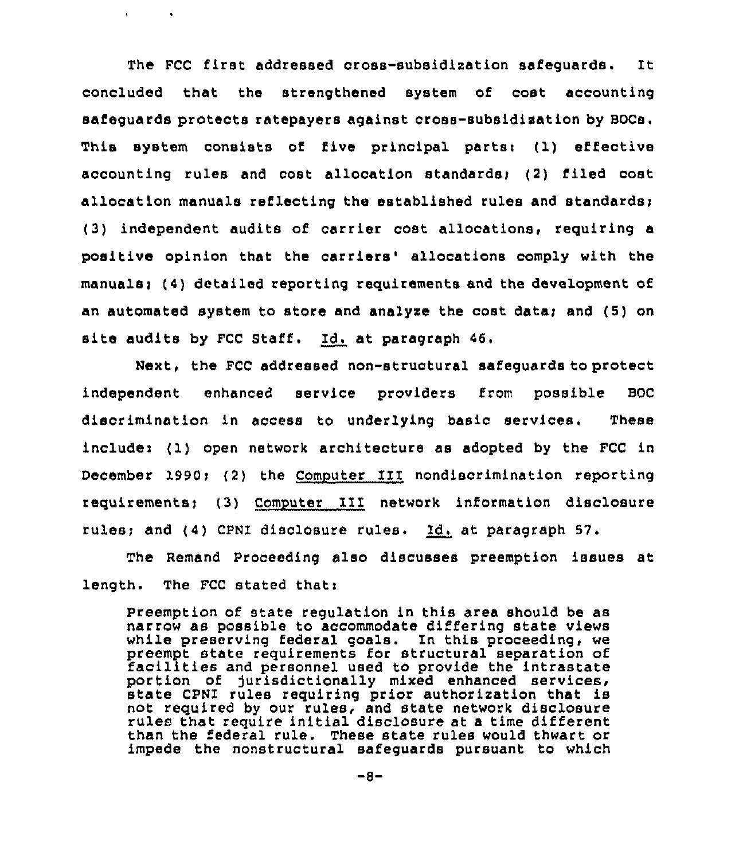The FCC first addressed cross-subsidization safeguards. It concluded that the strengthened system of cost accounting safeguards protects ratepayers against cross-subsidization by BOCs. This system consists of five principal parts: (1) effective accounting rules and cost allocation standards: (2) filed cost allocation manuals reflecting the established rules and standards; (3) independent audits of carrier cost allocations, requiring a positive opinion that the carriers' allocations comply with the manuals; (4) detailed reporting requirements and the development of an automated system to store and analyze the cost data; and (5) on site audits by FCC Staff, Id. at paragraph 46.

 $\mathbf{r}$ 

 $\sim 10$ 

Next, the FCC addressed non-structural safeguards to protect independent enhanced service providers from possible BOC discrimination in access to underlying basic services. These include: (1) open network architecture as adopted by the FCC in December 1990; (2) the Computer III nondiscrimination reporting requirements; (3) Computer III network information disclosure rules; and (4) CPNI disclosure rules. Id. at paragraph 57.

The Remand Proceeding also discusses preemption issues at length. The FCC stated that:

Preemption of state regulation in this area should be as narrow as possible to accommodate differing state views while preserving federal goals. In this proceeding, we preempt state requirements for structural separation of facilities and personnel used to provide the intrastate portion of jurisdictionally mixed enhanced services, state CPNI rules requiring prior authorization that is not required by our rules, and state network disclosure rules that require initial disclosure at a time different than the federal rule. These state rules would thwart or impede the nonstructural safeguards pursuant to which

 $-8-$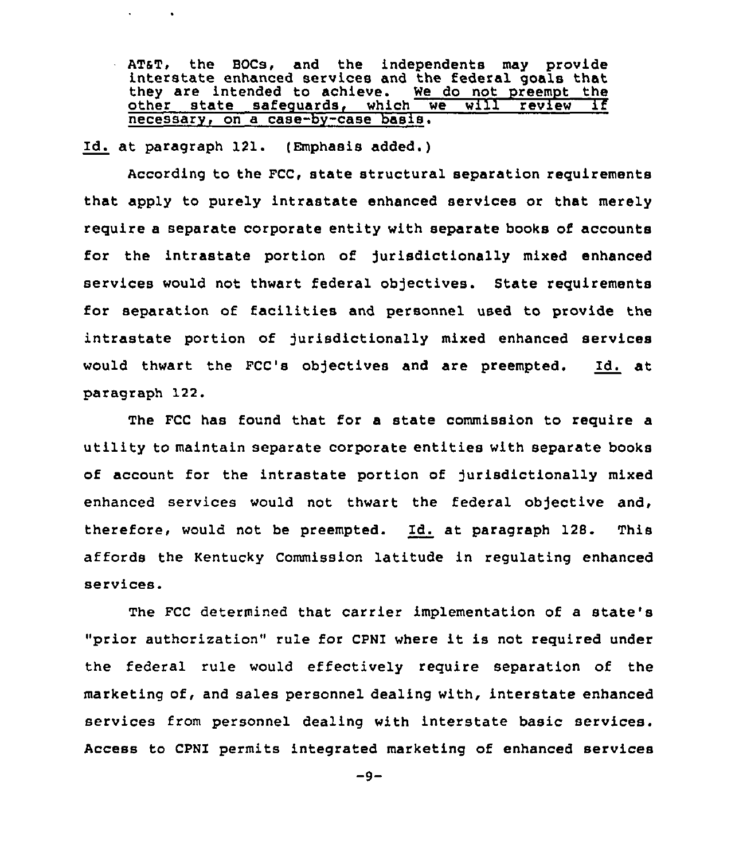AT&T, the BOCs, and the independents may provide interstate enhanced services and the federal goals that they are intended to achieve. We do not preempt the they are intended to achieve. We do not preempt the<br>other state safequards, which we will review if  $s$ afequards, which  $\overline{\phantom{a}}$ necessarv, on a case-by-case basis.

Id. at paragraph 121. (Emphasis added.)

 $\mathbf{r} = \mathbf{r}$ 

 $\sim 100$ 

According to the FCC, state structural separation requirements that apply to purely intrastate enhanced services or that merely require a separate corporate entity with separate books of accounts for the intrastate portion of jurisdictionally mixed enhanced services would not thwart federal objectives. State requirements for separation of facilities and personnel used to provide the intrastate portion of jurisdictionally mixed enhanced services would thwart the FCC's objectives and are preempted. Id. at paragraph 122.

The FCC has found that for a state commission to require a utility to maintain separate corporate entities with separate books of account for the intrastate portion of jurisdictionally mixed enhanced services would not thwart the federal objective and, therefore, would not be preempted. Id. at paragraph 128. This affords the Kentucky Commission latitude in regulating enhanced services.

The FCC determined that carrier implementation of a state' "prior authorization" rule for CPNI where it is not required under the federal rule would effectively require separation of the marketing of, and sales personnel dealing with, interstate enhanced services from personnel dealing with interstate basic services. Access to CPNI permits integrated marketing of enhanced services

 $-9-$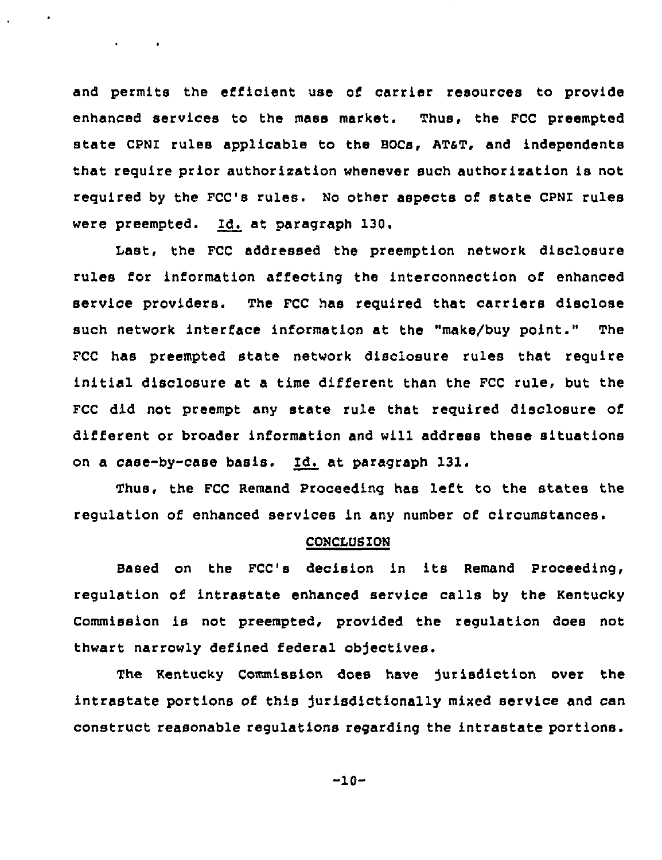and permits the efficient use of carrier resources to provide enhanced services to the mass market. Thus, the FCC preempted state CPNI rules applicable to the BOCs, ATST, and independents that require prior authorization whenever such authorization is not required by the FCC's rules. No other aspects of state CPNI rules were preempted. Id. at paragraph 130.

 $\mathbf{r} = \left\{ \begin{array}{ll} 0 & \text{if} \ \mathbf{r} = \mathbf{r} \end{array} \right.$ 

Last, the FCC addressed the preemption network disclosure rules for information affecting the interconnection of enhanced service providers. The FCC has required that carriers disclose such network interface information at the "make/buy point." The FCC has preempted state network disclosure rules that require initial disclosure at a time different than the FCC rule, but the FCC did not preempt any state rule that required disclosure of different or broader information and will address these situations on a case-by-case basis. Id. at paragraph 131.

Thus, the FCC Remand Proceeding has left to the states the regulation of enhanced services in any number of circumstances.

### CONCLUSION

Based on the FCC's decision in its Remand Proceeding, regulation of intrastate enhanced service calls by the Kentucky Commission is not preempted, provided the regulation does not thwart narrowly defined federal objectives.

The Kentucky Commission does have Jurisdiction over the intrastate portions of this jurisdictionally mixed service and can construct reasonable regulations regarding the intrastate portions.

-10-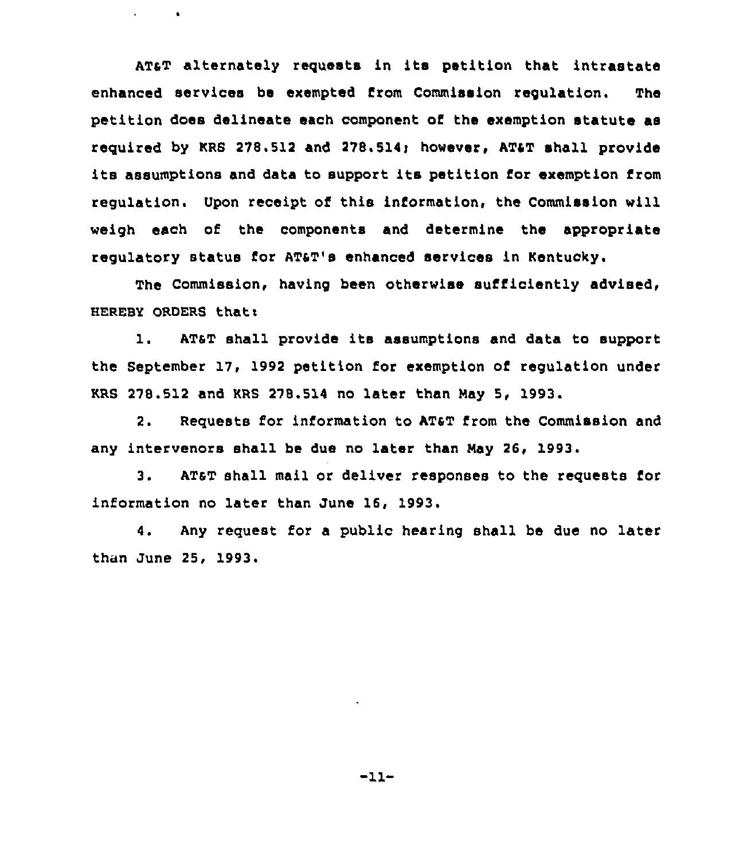ATaT alternately requests in its petition that intrastate enhanced services be exempted from Commission regulation. The petition does delineate each component of the exemption statute as required by KRS 278.512 and 278.514< however, ATaT shall provide its assumptions and data to support its petition for exemption from regulation. Upon receipt of this information, the Commission will weigh each of the components and determine the appropriate regulatory status for ATaT's enhanced services in Kentucky.

 $\sim$ 

 $\sim$  100  $\pm$ 

The Commission, having been otherwise sufficiently advised, HEREBY ORDERS thats

1. ATaT shall provide its assumptions and data to support the September 17, 1992 petition for exemption of regulation under KRS 278.512 and KRS 278.514 no later than Nay 5, 1993.

2. Requests for information to AT4T from the Commission and any intervenors shall be due no later than May 26, 1993

 $3<sub>1</sub>$ AT&T shall mail or deliver responses to the requests for information no later than June 16, 1993.

4. Any request for a public hearing shall be due no later than June 25, 1993.

 $-11-$